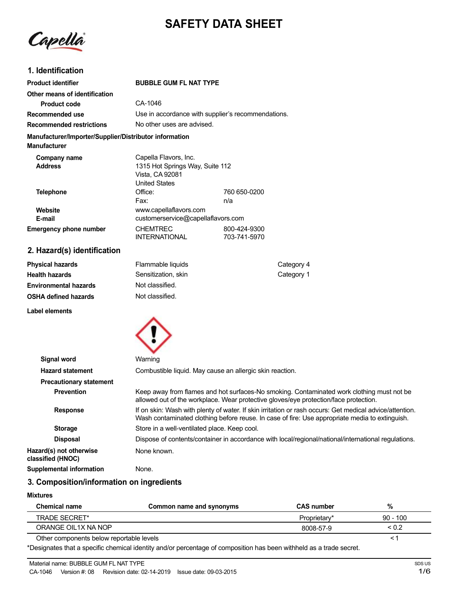# **SAFETY DATA SHEET**

Capella

# **1. Identification**

| <b>Product identifier</b>                                                     | <b>BUBBLE GUM FL NAT TYPE</b>                                                                       |                              |
|-------------------------------------------------------------------------------|-----------------------------------------------------------------------------------------------------|------------------------------|
| Other means of identification                                                 |                                                                                                     |                              |
| <b>Product code</b>                                                           | CA-1046                                                                                             |                              |
| Recommended use                                                               | Use in accordance with supplier's recommendations.                                                  |                              |
| <b>Recommended restrictions</b>                                               | No other uses are advised.                                                                          |                              |
| Manufacturer/Importer/Supplier/Distributor information<br><b>Manufacturer</b> |                                                                                                     |                              |
| Company name<br><b>Address</b>                                                | Capella Flavors, Inc.<br>1315 Hot Springs Way, Suite 112<br>Vista, CA 92081<br><b>United States</b> |                              |
| <b>Telephone</b>                                                              | Office:<br>Fax:                                                                                     | 760 650-0200<br>n/a          |
| Website<br>E-mail                                                             | www.capellaflavors.com<br>customerservice@capellaflavors.com                                        |                              |
| <b>Emergency phone number</b>                                                 | <b>CHEMTREC</b><br><b>INTERNATIONAL</b>                                                             | 800-424-9300<br>703-741-5970 |
| 2. Hazard(s) identification                                                   |                                                                                                     |                              |

| Physical hazards             | Flammable liquids   | Category 4 |
|------------------------------|---------------------|------------|
| Health hazards               | Sensitization, skin | Category 1 |
| <b>Environmental hazards</b> | Not classified.     |            |
| OSHA defined hazards         | Not classified.     |            |
|                              |                     |            |

**Label elements**



| <b>Signal word</b>                           | Warning                                                                                                                                                                                                   |
|----------------------------------------------|-----------------------------------------------------------------------------------------------------------------------------------------------------------------------------------------------------------|
| <b>Hazard statement</b>                      | Combustible liquid. May cause an allergic skin reaction.                                                                                                                                                  |
| <b>Precautionary statement</b>               |                                                                                                                                                                                                           |
| <b>Prevention</b>                            | Keep away from flames and hot surfaces-No smoking. Contaminated work clothing must not be<br>allowed out of the workplace. Wear protective gloves/eye protection/face protection.                         |
| <b>Response</b>                              | If on skin: Wash with plenty of water. If skin irritation or rash occurs: Get medical advice/attention.<br>Wash contaminated clothing before reuse. In case of fire: Use appropriate media to extinguish. |
| <b>Storage</b>                               | Store in a well-ventilated place. Keep cool.                                                                                                                                                              |
| <b>Disposal</b>                              | Dispose of contents/container in accordance with local/regional/national/international regulations.                                                                                                       |
| Hazard(s) not otherwise<br>classified (HNOC) | None known.                                                                                                                                                                                               |
| Supplemental information                     | None.                                                                                                                                                                                                     |

# **3. Composition/information on ingredients**

#### **Mixtures**

| Chemical name                            | Common name and synonyms | <b>CAS number</b> | 7٥           |
|------------------------------------------|--------------------------|-------------------|--------------|
| TRADE SECRET*                            |                          | Proprietary*      | $90 - 100$   |
| ORANGE OIL1X NA NOP                      |                          | 8008-57-9         | ${}^{< 0.2}$ |
| Other components below reportable levels |                          |                   |              |

\*Designates that a specific chemical identity and/or percentage of composition has been withheld as a trade secret.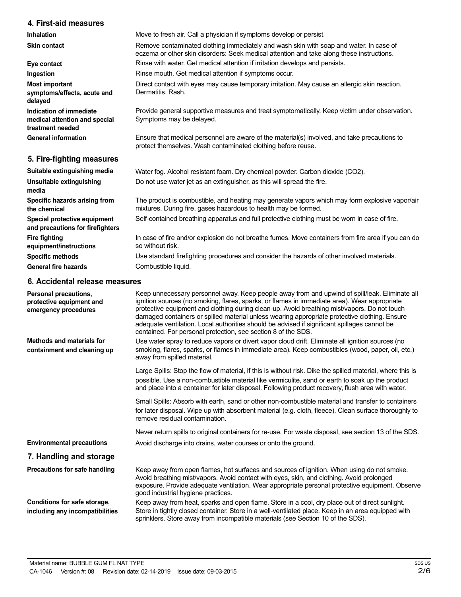### **4. First-aid measures**

**Inhalation Skin contact**

**Eye contact Ingestion Most important symptoms/effects, acute and delayed Indication of immediate medical attention and special treatment needed General information 5. Fire-fighting measures Suitable extinguishing media Unsuitable extinguishing media Specific hazards arising from the chemical Special protective equipment and precautions for firefighters Fire fighting equipment/instructions Specific methods** Remove contaminated clothing immediately and wash skin with soap and water. In case of eczema or other skin disorders: Seek medical attention and take along these instructions. Rinse with water. Get medical attention if irritation develops and persists. Rinse mouth. Get medical attention if symptoms occur. Direct contact with eyes may cause temporary irritation. May cause an allergic skin reaction. Dermatitis. Rash. Provide general supportive measures and treat symptomatically. Keep victim under observation. Symptoms may be delayed. Ensure that medical personnel are aware of the material(s) involved, and take precautions to protect themselves. Wash contaminated clothing before reuse. Water fog. Alcohol resistant foam. Dry chemical powder. Carbon dioxide (CO2). Do not use water jet as an extinguisher, as this will spread the fire. The product is combustible, and heating may generate vapors which may form explosive vapor/air mixtures. During fire, gases hazardous to health may be formed. Self-contained breathing apparatus and full protective clothing must be worn in case of fire. In case of fire and/or explosion do not breathe fumes. Move containers from fire area if you can do so without risk. Use standard firefighting procedures and consider the hazards of other involved materials.

Move to fresh air. Call a physician if symptoms develop or persist.

**General fire hazards**

### **6. Accidental release measures**

Combustible liquid.

| Personal precautions,<br>protective equipment and<br>emergency procedures | Keep unnecessary personnel away. Keep people away from and upwind of spill/leak. Eliminate all<br>ignition sources (no smoking, flares, sparks, or flames in immediate area). Wear appropriate<br>protective equipment and clothing during clean-up. Avoid breathing mist/vapors. Do not touch<br>damaged containers or spilled material unless wearing appropriate protective clothing. Ensure<br>adequate ventilation. Local authorities should be advised if significant spillages cannot be<br>contained. For personal protection, see section 8 of the SDS. |
|---------------------------------------------------------------------------|------------------------------------------------------------------------------------------------------------------------------------------------------------------------------------------------------------------------------------------------------------------------------------------------------------------------------------------------------------------------------------------------------------------------------------------------------------------------------------------------------------------------------------------------------------------|
| Methods and materials for<br>containment and cleaning up                  | Use water spray to reduce vapors or divert vapor cloud drift. Eliminate all ignition sources (no<br>smoking, flares, sparks, or flames in immediate area). Keep combustibles (wood, paper, oil, etc.)<br>away from spilled material.                                                                                                                                                                                                                                                                                                                             |
|                                                                           | Large Spills: Stop the flow of material, if this is without risk. Dike the spilled material, where this is<br>possible. Use a non-combustible material like vermiculite, sand or earth to soak up the product<br>and place into a container for later disposal. Following product recovery, flush area with water.                                                                                                                                                                                                                                               |
|                                                                           | Small Spills: Absorb with earth, sand or other non-combustible material and transfer to containers<br>for later disposal. Wipe up with absorbent material (e.g. cloth, fleece). Clean surface thoroughly to<br>remove residual contamination.                                                                                                                                                                                                                                                                                                                    |
|                                                                           | Never return spills to original containers for re-use. For waste disposal, see section 13 of the SDS.                                                                                                                                                                                                                                                                                                                                                                                                                                                            |
| <b>Environmental precautions</b>                                          | Avoid discharge into drains, water courses or onto the ground.                                                                                                                                                                                                                                                                                                                                                                                                                                                                                                   |
| 7. Handling and storage                                                   |                                                                                                                                                                                                                                                                                                                                                                                                                                                                                                                                                                  |
| Precautions for safe handling                                             | Keep away from open flames, hot surfaces and sources of ignition. When using do not smoke.<br>Avoid breathing mist/vapors. Avoid contact with eyes, skin, and clothing. Avoid prolonged<br>exposure. Provide adequate ventilation. Wear appropriate personal protective equipment. Observe<br>good industrial hygiene practices.                                                                                                                                                                                                                                 |
| Conditions for safe storage,<br>including any incompatibilities           | Keep away from heat, sparks and open flame. Store in a cool, dry place out of direct sunlight.<br>Store in tightly closed container. Store in a well-ventilated place. Keep in an area equipped with<br>sprinklers. Store away from incompatible materials (see Section 10 of the SDS).                                                                                                                                                                                                                                                                          |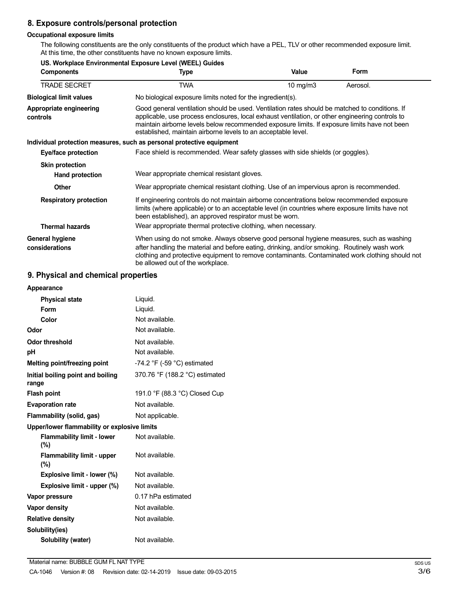# **8. Exposure controls/personal protection**

### **Occupational exposure limits**

The following constituents are the only constituents of the product which have a PEL, TLV or other recommended exposure limit. At this time, the other constituents have no known exposure limits.

| US. Workplace Environmental Exposure Level (WEEL) Guides |                                                                                                                                                                                                                                                                                                                                                                    |          |          |
|----------------------------------------------------------|--------------------------------------------------------------------------------------------------------------------------------------------------------------------------------------------------------------------------------------------------------------------------------------------------------------------------------------------------------------------|----------|----------|
| <b>Components</b>                                        | Type                                                                                                                                                                                                                                                                                                                                                               | Value    | Form     |
| <b>TRADE SECRET</b>                                      | TWA                                                                                                                                                                                                                                                                                                                                                                | 10 mg/m3 | Aerosol. |
| <b>Biological limit values</b>                           | No biological exposure limits noted for the ingredient(s).                                                                                                                                                                                                                                                                                                         |          |          |
| Appropriate engineering<br>controls                      | Good general ventilation should be used. Ventilation rates should be matched to conditions. If<br>applicable, use process enclosures, local exhaust ventilation, or other engineering controls to<br>maintain airborne levels below recommended exposure limits. If exposure limits have not been<br>established, maintain airborne levels to an acceptable level. |          |          |
|                                                          | Individual protection measures, such as personal protective equipment                                                                                                                                                                                                                                                                                              |          |          |
| Eye/face protection                                      | Face shield is recommended. Wear safety glasses with side shields (or goggles).                                                                                                                                                                                                                                                                                    |          |          |
| <b>Skin protection</b>                                   |                                                                                                                                                                                                                                                                                                                                                                    |          |          |
| <b>Hand protection</b>                                   | Wear appropriate chemical resistant gloves.                                                                                                                                                                                                                                                                                                                        |          |          |
| <b>Other</b>                                             | Wear appropriate chemical resistant clothing. Use of an impervious apron is recommended.                                                                                                                                                                                                                                                                           |          |          |
| <b>Respiratory protection</b>                            | If engineering controls do not maintain airborne concentrations below recommended exposure<br>limits (where applicable) or to an acceptable level (in countries where exposure limits have not<br>been established), an approved respirator must be worn.                                                                                                          |          |          |
| <b>Thermal hazards</b>                                   | Wear appropriate thermal protective clothing, when necessary.                                                                                                                                                                                                                                                                                                      |          |          |
| General hygiene<br>considerations                        | When using do not smoke. Always observe good personal hygiene measures, such as washing<br>after handling the material and before eating, drinking, and/or smoking. Routinely wash work<br>clothing and protective equipment to remove contaminants. Contaminated work clothing should not<br>be allowed out of the workplace.                                     |          |          |

# **9. Physical and chemical properties**

| Appearance                                   |                                               |
|----------------------------------------------|-----------------------------------------------|
| <b>Physical state</b>                        | Liquid.                                       |
| Form                                         | Liquid.                                       |
| Color                                        | Not available.                                |
| Odor                                         | Not available.                                |
| Odor threshold                               | Not available.                                |
| рH                                           | Not available.                                |
| Melting point/freezing point                 | -74.2 $\degree$ F (-59 $\degree$ C) estimated |
| Initial boiling point and boiling<br>range   | 370.76 °F (188.2 °C) estimated                |
| <b>Flash point</b>                           | 191.0 °F (88.3 °C) Closed Cup                 |
| <b>Evaporation rate</b>                      | Not available.                                |
| Flammability (solid, gas)                    | Not applicable.                               |
| Upper/lower flammability or explosive limits |                                               |
| <b>Flammability limit - lower</b><br>(%)     | Not available.                                |
| <b>Flammability limit - upper</b><br>(%)     | Not available.                                |
| Explosive limit - lower (%)                  | Not available.                                |
| Explosive limit - upper (%)                  | Not available.                                |
| Vapor pressure                               | 0.17 hPa estimated                            |
| <b>Vapor density</b>                         | Not available.                                |
| <b>Relative density</b>                      | Not available.                                |
| Solubility(ies)                              |                                               |
| Solubility (water)                           | Not available.                                |
|                                              |                                               |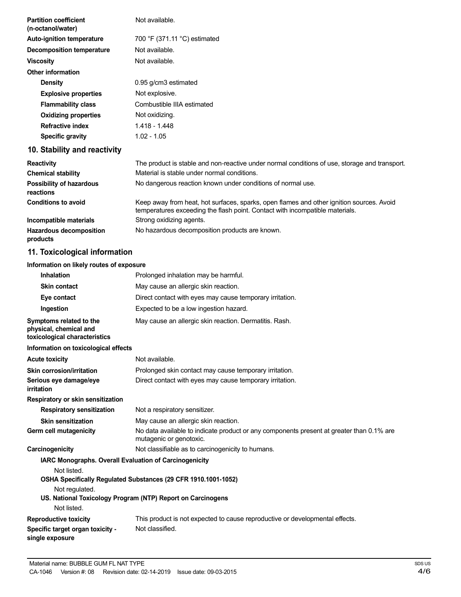| <b>Partition coefficient</b><br>(n-octanol/water)                                  | Not available.                                                                                                                                                           |
|------------------------------------------------------------------------------------|--------------------------------------------------------------------------------------------------------------------------------------------------------------------------|
| <b>Auto-ignition temperature</b>                                                   | 700 °F (371.11 °C) estimated                                                                                                                                             |
| <b>Decomposition temperature</b>                                                   | Not available.                                                                                                                                                           |
| <b>Viscosity</b>                                                                   | Not available.                                                                                                                                                           |
| <b>Other information</b>                                                           |                                                                                                                                                                          |
| <b>Density</b>                                                                     | 0.95 g/cm3 estimated                                                                                                                                                     |
| <b>Explosive properties</b>                                                        | Not explosive.                                                                                                                                                           |
| <b>Flammability class</b>                                                          | Combustible IIIA estimated                                                                                                                                               |
| <b>Oxidizing properties</b>                                                        | Not oxidizing.                                                                                                                                                           |
| <b>Refractive index</b>                                                            | 1.418 - 1.448                                                                                                                                                            |
| <b>Specific gravity</b>                                                            | $1.02 - 1.05$                                                                                                                                                            |
| 10. Stability and reactivity                                                       |                                                                                                                                                                          |
| <b>Reactivity</b>                                                                  | The product is stable and non-reactive under normal conditions of use, storage and transport.                                                                            |
| <b>Chemical stability</b>                                                          | Material is stable under normal conditions.                                                                                                                              |
| <b>Possibility of hazardous</b><br>reactions                                       | No dangerous reaction known under conditions of normal use.                                                                                                              |
| <b>Conditions to avoid</b>                                                         | Keep away from heat, hot surfaces, sparks, open flames and other ignition sources. Avoid<br>temperatures exceeding the flash point. Contact with incompatible materials. |
| Incompatible materials                                                             | Strong oxidizing agents.                                                                                                                                                 |
| <b>Hazardous decomposition</b><br>products                                         | No hazardous decomposition products are known.                                                                                                                           |
| 11. Toxicological information                                                      |                                                                                                                                                                          |
| Information on likely routes of exposure                                           |                                                                                                                                                                          |
| <b>Inhalation</b>                                                                  | Prolonged inhalation may be harmful.                                                                                                                                     |
| <b>Skin contact</b>                                                                | May cause an allergic skin reaction.                                                                                                                                     |
| Eye contact                                                                        | Direct contact with eyes may cause temporary irritation.                                                                                                                 |
| Ingestion                                                                          | Expected to be a low ingestion hazard.                                                                                                                                   |
| Symptoms related to the<br>physical, chemical and<br>toxicological characteristics | May cause an allergic skin reaction. Dermatitis. Rash.                                                                                                                   |
| Information on toxicological effects                                               |                                                                                                                                                                          |
| <b>Acute toxicity</b>                                                              | Not available.                                                                                                                                                           |
| <b>Skin corrosion/irritation</b>                                                   | Prolonged skin contact may cause temporary irritation.                                                                                                                   |

| <u> Jimi von Joionnin kuuvit</u> | There igou didn't contact may cause tomporary imtation.  |
|----------------------------------|----------------------------------------------------------|
| Serious eye damage/eye           | Direct contact with eyes may cause temporary irritation. |

May cause an allergic skin reaction.

mutagenic or genotoxic.

No data available to indicate product or any components present at greater than 0.1% are

Not listed. **OSHA Specifically Regulated Substances (29 CFR 1910.1001-1052)**

**Respiratory or skin sensitization**

**Skin sensitization Germ cell mutagenicity**

Not regulated.

**US. National Toxicology Program (NTP) Report on Carcinogens**

**Carcinogenicity Carcinogenicity Not classifiable as to carcinogenicity to humans.** 

**Respiratory sensitization** Not a respiratory sensitizer.

**IARC Monographs. Overall Evaluation of Carcinogenicity**

Not listed.

**irritation**

**Reproductive toxicity Specific target organ toxicity single exposure** This product is not expected to cause reproductive or developmental effects. Not classified.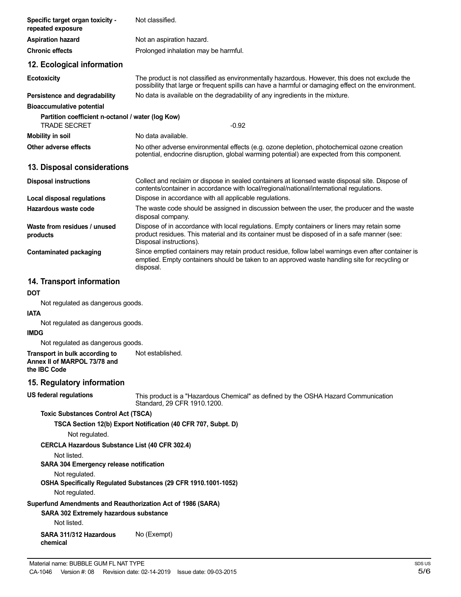| Specific target organ toxicity -<br>repeated exposure                                                        | Not classified.                                                                                                                                                                                                        |
|--------------------------------------------------------------------------------------------------------------|------------------------------------------------------------------------------------------------------------------------------------------------------------------------------------------------------------------------|
| <b>Aspiration hazard</b>                                                                                     | Not an aspiration hazard.                                                                                                                                                                                              |
| <b>Chronic effects</b>                                                                                       | Prolonged inhalation may be harmful.                                                                                                                                                                                   |
| 12. Ecological information                                                                                   |                                                                                                                                                                                                                        |
| <b>Ecotoxicity</b>                                                                                           | The product is not classified as environmentally hazardous. However, this does not exclude the<br>possibility that large or frequent spills can have a harmful or damaging effect on the environment.                  |
| Persistence and degradability                                                                                | No data is available on the degradability of any ingredients in the mixture.                                                                                                                                           |
| <b>Bioaccumulative potential</b><br>Partition coefficient n-octanol / water (log Kow)<br><b>TRADE SECRET</b> | $-0.92$                                                                                                                                                                                                                |
| <b>Mobility in soil</b>                                                                                      | No data available.                                                                                                                                                                                                     |
| Other adverse effects                                                                                        | No other adverse environmental effects (e.g. ozone depletion, photochemical ozone creation<br>potential, endocrine disruption, global warming potential) are expected from this component.                             |
| 13. Disposal considerations                                                                                  |                                                                                                                                                                                                                        |
| <b>Disposal instructions</b>                                                                                 | Collect and reclaim or dispose in sealed containers at licensed waste disposal site. Dispose of<br>contents/container in accordance with local/regional/national/international regulations.                            |
| <b>Local disposal regulations</b>                                                                            | Dispose in accordance with all applicable regulations.                                                                                                                                                                 |
| Hazardous waste code                                                                                         | The waste code should be assigned in discussion between the user, the producer and the waste<br>disposal company.                                                                                                      |
| Waste from residues / unused<br>products                                                                     | Dispose of in accordance with local regulations. Empty containers or liners may retain some<br>product residues. This material and its container must be disposed of in a safe manner (see:<br>Disposal instructions). |
| <b>Contaminated packaging</b>                                                                                | Since emptied containers may retain product residue, follow label warnings even after container is<br>emptied. Empty containers should be taken to an approved waste handling site for recycling or<br>disposal.       |
| 14. Transport information                                                                                    |                                                                                                                                                                                                                        |
| DOT                                                                                                          |                                                                                                                                                                                                                        |
| Not regulated as dangerous goods.                                                                            |                                                                                                                                                                                                                        |
| IATA                                                                                                         |                                                                                                                                                                                                                        |
| Not regulated as dangerous goods.                                                                            |                                                                                                                                                                                                                        |
| <b>IMDG</b>                                                                                                  |                                                                                                                                                                                                                        |
| Not regulated as dangerous goods.                                                                            | Not established.                                                                                                                                                                                                       |
| Transport in bulk according to<br>Annex II of MARPOL 73/78 and<br>the IBC Code                               |                                                                                                                                                                                                                        |
| 15. Regulatory information                                                                                   |                                                                                                                                                                                                                        |
| <b>US federal regulations</b>                                                                                | This product is a "Hazardous Chemical" as defined by the OSHA Hazard Communication<br>Standard, 29 CFR 1910.1200.                                                                                                      |
| <b>Toxic Substances Control Act (TSCA)</b>                                                                   |                                                                                                                                                                                                                        |
| Not regulated.                                                                                               | TSCA Section 12(b) Export Notification (40 CFR 707, Subpt. D)                                                                                                                                                          |
| <b>CERCLA Hazardous Substance List (40 CFR 302.4)</b>                                                        |                                                                                                                                                                                                                        |
| Not listed.                                                                                                  |                                                                                                                                                                                                                        |
| <b>SARA 304 Emergency release notification</b>                                                               |                                                                                                                                                                                                                        |
| Not regulated.                                                                                               | OSHA Specifically Regulated Substances (29 CFR 1910.1001-1052)                                                                                                                                                         |
| Not regulated.                                                                                               |                                                                                                                                                                                                                        |
| Superfund Amendments and Reauthorization Act of 1986 (SARA)                                                  |                                                                                                                                                                                                                        |
| <b>SARA 302 Extremely hazardous substance</b>                                                                |                                                                                                                                                                                                                        |
| Not listed.                                                                                                  |                                                                                                                                                                                                                        |
| SARA 311/312 Hazardous<br>chemical                                                                           | No (Exempt)                                                                                                                                                                                                            |
|                                                                                                              |                                                                                                                                                                                                                        |